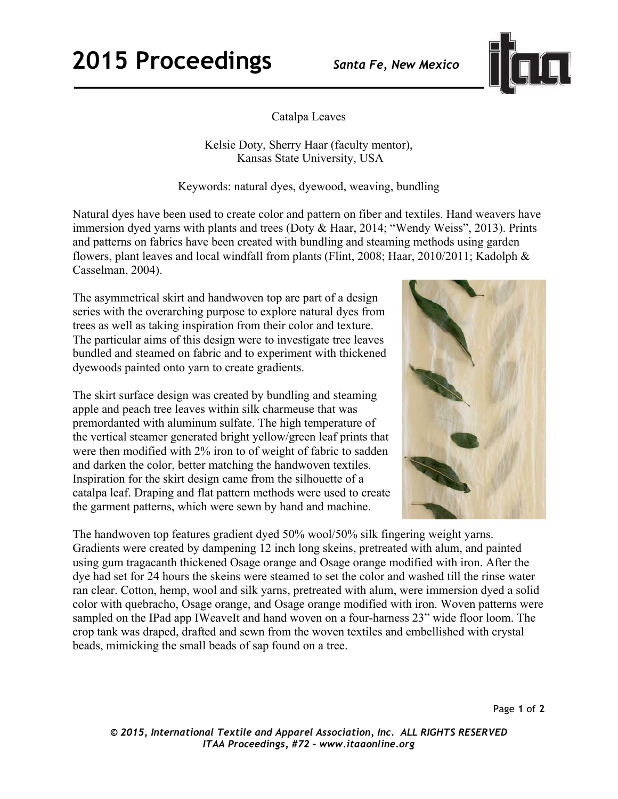## **2015 Proceedings** *Santa Fe, New Mexico*



Catalpa Leaves

Kelsie Doty, Sherry Haar (faculty mentor), Kansas State University, USA

Keywords: natural dyes, dyewood, weaving, bundling

Natural dyes have been used to create color and pattern on fiber and textiles. Hand weavers have immersion dyed yarns with plants and trees (Doty & Haar, 2014; "Wendy Weiss", 2013). Prints and patterns on fabrics have been created with bundling and steaming methods using garden flowers, plant leaves and local windfall from plants (Flint, 2008; Haar, 2010/2011; Kadolph & Casselman, 2004).

The asymmetrical skirt and handwoven top are part of a design series with the overarching purpose to explore natural dyes from trees as well as taking inspiration from their color and texture. The particular aims of this design were to investigate tree leaves bundled and steamed on fabric and to experiment with thickened dyewoods painted onto yarn to create gradients.

The skirt surface design was created by bundling and steaming apple and peach tree leaves within silk charmeuse that was premordanted with aluminum sulfate. The high temperature of the vertical steamer generated bright yellow/green leaf prints that were then modified with 2% iron to of weight of fabric to sadden and darken the color, better matching the handwoven textiles. Inspiration for the skirt design came from the silhouette of a catalpa leaf. Draping and flat pattern methods were used to create the garment patterns, which were sewn by hand and machine.



The handwoven top features gradient dyed 50% wool/50% silk fingering weight yarns. Gradients were created by dampening 12 inch long skeins, pretreated with alum, and painted using gum tragacanth thickened Osage orange and Osage orange modified with iron. After the dye had set for 24 hours the skeins were steamed to set the color and washed till the rinse water ran clear. Cotton, hemp, wool and silk yarns, pretreated with alum, were immersion dyed a solid color with quebracho, Osage orange, and Osage orange modified with iron. Woven patterns were sampled on the IPad app IWeaveIt and hand woven on a four-harness 23" wide floor loom. The crop tank was draped, drafted and sewn from the woven textiles and embellished with crystal beads, mimicking the small beads of sap found on a tree.

*© 2015, International Textile and Apparel Association, Inc. ALL RIGHTS RESERVED ITAA Proceedings, #72 – www.itaaonline.org*